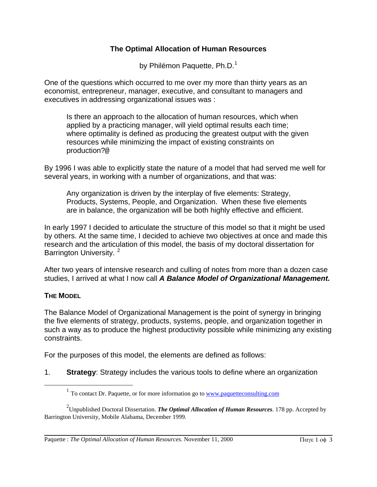## **The Optimal Allocation of Human Resources**

by Philémon Paquette, Ph.D.<sup>[1](#page-0-0)</sup>

One of the questions which occurred to me over my more than thirty years as an economist, entrepreneur, manager, executive, and consultant to managers and executives in addressing organizational issues was :

Is there an approach to the allocation of human resources, which when applied by a practicing manager, will yield optimal results each time; where optimality is defined as producing the greatest output with the given resources while minimizing the impact of existing constraints on production?@

By 1996 I was able to explicitly state the nature of a model that had served me well for several years, in working with a number of organizations, and that was:

Any organization is driven by the interplay of five elements: Strategy, Products, Systems, People, and Organization. When these five elements are in balance, the organization will be both highly effective and efficient.

In early 1997 I decided to articulate the structure of this model so that it might be used by others. At the same time, I decided to achieve two objectives at once and made this research and the articulation of this model, the basis of my doctoral dissertation for Barrington University.<sup>[2](#page-0-1)</sup>

After two years of intensive research and culling of notes from more than a dozen case studies, I arrived at what I now call *A Balance Model of Organizational Management.*

## **THE MODEL**

<span id="page-0-0"></span> $\overline{a}$ 

The Balance Model of Organizational Management is the point of synergy in bringing the five elements of strategy, products, systems, people, and organization together in such a way as to produce the highest productivity possible while minimizing any existing constraints.

For the purposes of this model, the elements are defined as follows:

1. **Strategy**: Strategy includes the various tools to define where an organization

<sup>&</sup>lt;sup>1</sup> To contact Dr. Paquette, or for more information go to www.paquetteconsulting.com

<span id="page-0-1"></span><sup>2</sup> Unpublished Doctoral Dissertation. *The Optimal Allocation of Human Resources*. 178 pp. Accepted by Barrington University, Mobile Alabama, December 1999.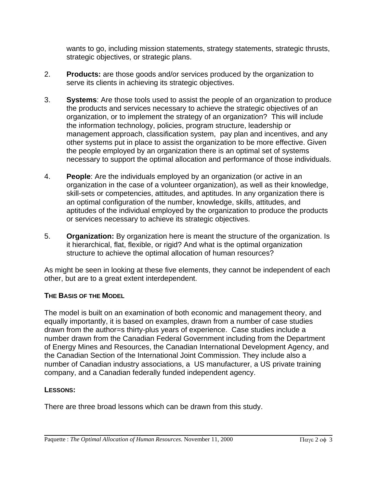wants to go, including mission statements, strategy statements, strategic thrusts, strategic objectives, or strategic plans.

- 2. **Products:** are those goods and/or services produced by the organization to serve its clients in achieving its strategic objectives.
- 3. **Systems**: Are those tools used to assist the people of an organization to produce the products and services necessary to achieve the strategic objectives of an organization, or to implement the strategy of an organization? This will include the information technology, policies, program structure, leadership or management approach, classification system, pay plan and incentives, and any other systems put in place to assist the organization to be more effective. Given the people employed by an organization there is an optimal set of systems necessary to support the optimal allocation and performance of those individuals.
- 4. **People**: Are the individuals employed by an organization (or active in an organization in the case of a volunteer organization), as well as their knowledge, skill-sets or competencies, attitudes, and aptitudes. In any organization there is an optimal configuration of the number, knowledge, skills, attitudes, and aptitudes of the individual employed by the organization to produce the products or services necessary to achieve its strategic objectives.
- 5. **Organization:** By organization here is meant the structure of the organization. Is it hierarchical, flat, flexible, or rigid? And what is the optimal organization structure to achieve the optimal allocation of human resources?

As might be seen in looking at these five elements, they cannot be independent of each other, but are to a great extent interdependent.

## **THE BASIS OF THE MODEL**

The model is built on an examination of both economic and management theory, and equally importantly, it is based on examples, drawn from a number of case studies drawn from the author=s thirty-plus years of experience. Case studies include a number drawn from the Canadian Federal Government including from the Department of Energy Mines and Resources, the Canadian International Development Agency, and the Canadian Section of the International Joint Commission. They include also a number of Canadian industry associations, a US manufacturer, a US private training company, and a Canadian federally funded independent agency.

## **LESSONS:**

There are three broad lessons which can be drawn from this study.